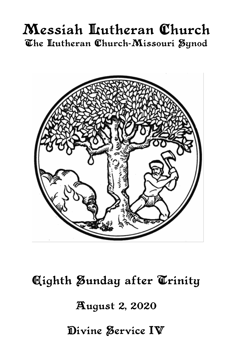# Messiah Lutheran Church The Itutheran Church-Missouri Synod



**Aighth Sunday after Trinity August 2, 2020** 

Divine Service IV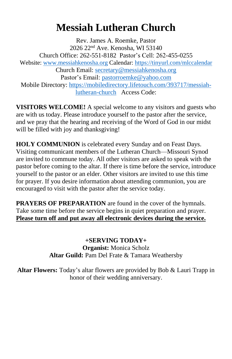# **Messiah Lutheran Church**

Rev. James A. Roemke, Pastor 2026 22nd Ave. Kenosha, WI 53140 Church Office: 262-551-8182 Pastor's Cell: 262-455-0255 Website: [www.messiahkenosha.org](http://www.messiahkenosha.org/) Calendar: <https://tinyurl.com/mlccalendar> Church Email: [secretary@messiahkenosha.org](https://d.docs.live.net/fdeed90a8019e9e6/Documents/2019%20PDF%20Bulletins/secretary@messiahkenosha.org) Pastor's Email: [pastorroemke@yahoo.com](mailto:pastorroemke@yahoo.com) Mobile Directory: [https://mobiledirectory.lifetouch.com/393717/messiah](https://mobiledirectory.lifetouch.com/393717/messiah-lutheran-church)[lutheran-church](https://mobiledirectory.lifetouch.com/393717/messiah-lutheran-church) Access Code:

**VISITORS WELCOME!** A special welcome to any visitors and guests who are with us today. Please introduce yourself to the pastor after the service, and we pray that the hearing and receiving of the Word of God in our midst will be filled with joy and thanksgiving!

**HOLY COMMUNION** is celebrated every Sunday and on Feast Days. Visiting communicant members of the Lutheran Church—Missouri Synod are invited to commune today. All other visitors are asked to speak with the pastor before coming to the altar. If there is time before the service, introduce yourself to the pastor or an elder. Other visitors are invited to use this time for prayer. If you desire information about attending communion, you are encouraged to visit with the pastor after the service today.

**PRAYERS OF PREPARATION** are found in the cover of the hymnals. Take some time before the service begins in quiet preparation and prayer. **Please turn off and put away all electronic devices during the service.**

> **+SERVING TODAY+ Organist:** Monica Scholz **Altar Guild:** Pam Del Frate & Tamara Weathersby

**Altar Flowers:** Today's altar flowers are provided by Bob & Lauri Trapp in honor of their wedding anniversary.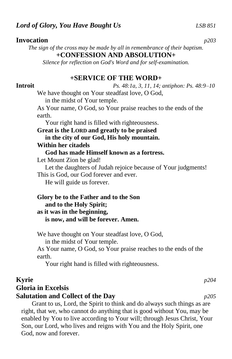### **Invocation** *p203*

*The sign of the cross may be made by all in remembrance of their baptism.* **+CONFESSION AND ABSOLUTION+**

*Silence for reflection on God's Word and for self-examination.*

### **+SERVICE OF THE WORD+**

### **Introit** *Ps. 48:1a, 3, 11, 14; antiphon: Ps. 48:9–10*

We have thought on Your steadfast love, O God, in the midst of Your temple.

As Your name, O God, so Your praise reaches to the ends of the earth.

Your right hand is filled with righteousness.

**Great is the LORD and greatly to be praised in the city of our God, His holy mountain. Within her citadels**

 **God has made Himself known as a fortress.**

Let Mount Zion be glad!

Let the daughters of Judah rejoice because of Your judgments! This is God, our God forever and ever.

He will guide us forever.

### **Glory be to the Father and to the Son and to the Holy Spirit; as it was in the beginning, is now, and will be forever. Amen.**

We have thought on Your steadfast love, O God, in the midst of Your temple.

As Your name, O God, so Your praise reaches to the ends of the earth.

Your right hand is filled with righteousness.

## **Kyrie** *p204*

# **Gloria in Excelsis**

### **Salutation and Collect of the Day** *p205*

Grant to us, Lord, the Spirit to think and do always such things as are right, that we, who cannot do anything that is good without You, may be enabled by You to live according to Your will; through Jesus Christ, Your Son, our Lord, who lives and reigns with You and the Holy Spirit, one God, now and forever.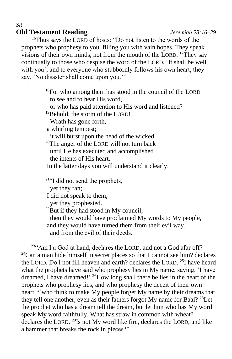## **Old Testament Reading** *Jeremiah 23:16–29*

<sup>16</sup>Thus says the LORD of hosts: "Do not listen to the words of the prophets who prophesy to you, filling you with vain hopes. They speak visions of their own minds, not from the mouth of the LORD. <sup>17</sup>They say continually to those who despise the word of the LORD, 'It shall be well with you'; and to everyone who stubbornly follows his own heart, they say, 'No disaster shall come upon you.'"

> $18$ For who among them has stood in the council of the LORD to see and to hear His word, or who has paid attention to His word and listened? <sup>19</sup>Behold, the storm of the LORD! Wrath has gone forth, a whirling tempest; it will burst upon the head of the wicked. <sup>20</sup>The anger of the LORD will not turn back until He has executed and accomplished the intents of His heart. In the latter days you will understand it clearly. <sup>21</sup>"I did not send the prophets, yet they ran; I did not speak to them, yet they prophesied.  $^{22}$ But if they had stood in My council, then they would have proclaimed My words to My people, and they would have turned them from their evil way,

and from the evil of their deeds.

<sup>23</sup>"Am I a God at hand, declares the LORD, and not a God afar off?  $24$ Can a man hide himself in secret places so that I cannot see him? declares the LORD. Do I not fill heaven and earth? declares the LORD. <sup>25</sup>I have heard what the prophets have said who prophesy lies in My name, saying, 'I have dreamed, I have dreamed!' <sup>26</sup>How long shall there be lies in the heart of the prophets who prophesy lies, and who prophesy the deceit of their own heart, <sup>27</sup>who think to make My people forget My name by their dreams that they tell one another, even as their fathers forgot My name for Baal? <sup>28</sup>Let the prophet who has a dream tell the dream, but let him who has My word speak My word faithfully. What has straw in common with wheat? declares the LORD. <sup>29</sup>Is not My word like fire, declares the LORD, and like a hammer that breaks the rock in pieces?"

*Sit*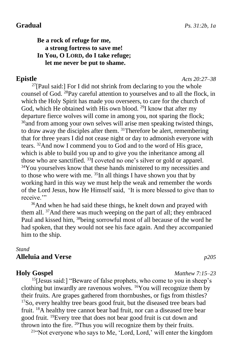### **Be a rock of refuge for me, a strong fortress to save me! In You, O LORD, do I take refuge; let me never be put to shame.**

**Epistle** *Acts 20:27–38*

 $27$ [Paul said:] For I did not shrink from declaring to you the whole counsel of God. <sup>28</sup>Pay careful attention to yourselves and to all the flock, in which the Holy Spirit has made you overseers, to care for the church of God, which He obtained with His own blood.<sup>29</sup>I know that after my departure fierce wolves will come in among you, not sparing the flock;  $30$  and from among your own selves will arise men speaking twisted things, to draw away the disciples after them. <sup>31</sup>Therefore be alert, remembering that for three years I did not cease night or day to admonish everyone with tears. <sup>32</sup>And now I commend you to God and to the word of His grace, which is able to build you up and to give you the inheritance among all those who are sanctified. <sup>33</sup>I coveted no one's silver or gold or apparel. <sup>34</sup>You yourselves know that these hands ministered to my necessities and to those who were with me.  $35$ In all things I have shown you that by working hard in this way we must help the weak and remember the words of the Lord Jesus, how He Himself said, 'It is more blessed to give than to receive."

<sup>36</sup>And when he had said these things, he knelt down and prayed with them all. <sup>37</sup>And there was much weeping on the part of all; they embraced Paul and kissed him, <sup>38</sup>being sorrowful most of all because of the word he had spoken, that they would not see his face again. And they accompanied him to the ship.

#### *Stand*

#### **Alleluia and Verse** *p205*

 $15$ [Jesus said:] "Beware of false prophets, who come to you in sheep's clothing but inwardly are ravenous wolves. <sup>16</sup>You will recognize them by their fruits. Are grapes gathered from thornbushes, or figs from thistles?  $17$ So, every healthy tree bears good fruit, but the diseased tree bears bad fruit. <sup>18</sup>A healthy tree cannot bear bad fruit, nor can a diseased tree bear good fruit. <sup>19</sup>Every tree that does not bear good fruit is cut down and thrown into the fire. <sup>20</sup>Thus you will recognize them by their fruits.

21"Not everyone who says to Me, 'Lord, Lord,' will enter the kingdom

#### **Holy Gospel** *Matthew 7:15–23*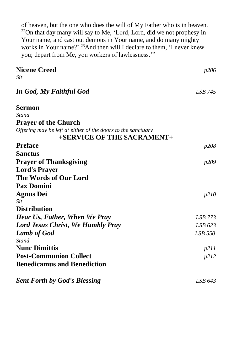of heaven, but the one who does the will of My Father who is in heaven. <sup>22</sup>On that day many will say to Me, 'Lord, Lord, did we not prophesy in Your name, and cast out demons in Your name, and do many mighty works in Your name?' <sup>23</sup>And then will I declare to them, 'I never knew you; depart from Me, you workers of lawlessness.'"

| <b>Nicene Creed</b>                                          | p206         |
|--------------------------------------------------------------|--------------|
| Sit                                                          |              |
| In God, My Faithful God                                      | LSB 745      |
| <b>Sermon</b>                                                |              |
| Stand                                                        |              |
| <b>Prayer of the Church</b>                                  |              |
| Offering may be left at either of the doors to the sanctuary |              |
| +SERVICE OF THE SACRAMENT+                                   |              |
| <b>Preface</b>                                               | <i>p</i> 208 |
| <b>Sanctus</b>                                               |              |
| <b>Prayer of Thanksgiving</b>                                | p209         |
| <b>Lord's Prayer</b>                                         |              |
| The Words of Our Lord                                        |              |
| <b>Pax Domini</b>                                            |              |
| <b>Agnus Dei</b>                                             | p210         |
| Sit                                                          |              |
| <b>Distribution</b>                                          |              |
| Hear Us, Father, When We Pray                                | LSB 773      |
| <b>Lord Jesus Christ, We Humbly Pray</b>                     | LSB 623      |
| <b>Lamb of God</b>                                           | LSB 550      |
| <b>Stand</b>                                                 |              |
| <b>Nunc Dimittis</b>                                         | p211         |
| <b>Post-Communion Collect</b>                                | p212         |
| <b>Benedicamus and Benediction</b>                           |              |
| <b>Sent Forth by God's Blessing</b>                          | LSB 643      |